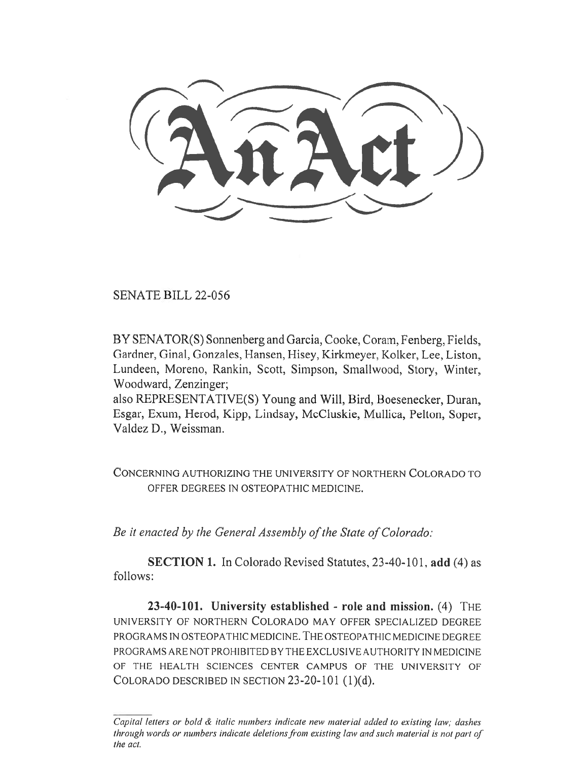SENATE BILL 22-056

BY SENATOR(S) Sonnenberg and Garcia, Cooke, Coram, Fenberg, Fields, Gardner, Ginal, Gonzales, Hansen, Hisey, Kirkmeyer, Kolker, Lee, Liston, Lundeen, Moreno, Rankin, Scott, Simpson, Smallwood, Story, Winter, Woodward, Zenzinger;

also REPRESENTATIVE(S) Young and Will, Bird, Boesenecker, Duran, Esgar, Exum, Herod, Kipp, Lindsay, McCluskie, Mullica, Pelton, Soper, Valdez D., Weissman.

CONCERNING AUTHORIZING THE UNIVERSITY OF NORTHERN COLORADO TO OFFER DEGREES IN OSTEOPATHIC MEDICINE.

Be it enacted by the General Assembly of the State of Colorado:

SECTION 1. In Colorado Revised Statutes, 23-40-101, add (4) as follows:

23-40-101. University established - role and mission.  $(4)$  THE UNIVERSITY OF NORTHERN COLORADO MAY OFFER SPECIALIZED DEGREE PROGRAMS IN OSTEOPATHIC MEDICINE. THE OSTEOPATHIC MEDICINE DEGREE PROGRAMS ARE NOT PROHIBITED BY THE EXCLUSIVE AUTHORITY IN MEDICINE OF THE HEALTH SCIENCES CENTER CAMPUS OF THE UNIVERSITY OF COLORADO DESCRIBED IN SECTION 23-20-101 (1)(d).

Capital letters or bold & italic numbers indicate new material added to existing law; dashes through words or numbers indicate deletions from existing law and such material is not part of the act.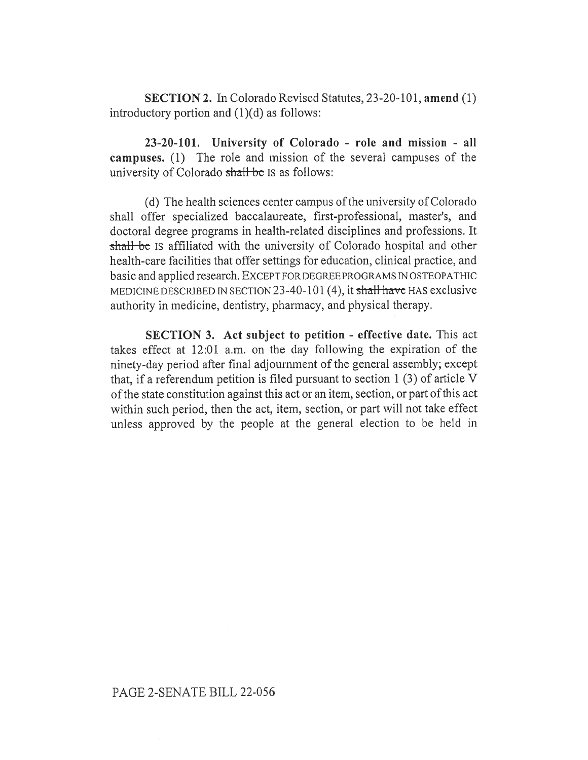SECTION 2. In Colorado Revised Statutes, 23-20-101, amend (1) introductory portion and (1)(d) as follows:

23-20-101. University of Colorado - role and mission - all campuses. (1) The role and mission of the several campuses of the university of Colorado shall be IS as follows:

(d) The health sciences center campus of the university of Colorado shall offer specialized baccalaureate, first-professional, master's, and doctoral degree programs in health-related disciplines and professions. It shall be IS affiliated with the university of Colorado hospital and other health-care facilities that offer settings for education, clinical practice, and basic and applied research. EXCEPT FOR DEGREE PROGRAMS IN OSTEOPATHIC MEDICINE DESCRIBED IN SECTION 23-40-101 (4), it shall have HAS exclusive authority in medicine, dentistry, pharmacy, and physical therapy.

SECTION 3. Act subject to petition - effective date. This act takes effect at 12:01 a.m. on the day following the expiration of the ninety-day period after final adjournment of the general assembly; except that, if a referendum petition is filed pursuant to section 1 (3) of article V of the state constitution against this act or an item, section, or part of this act within such period, then the act, item, section, or part will not take effect unless approved by the people at the general election to be held in

## PAGE 2-SENATE BILL 22-056